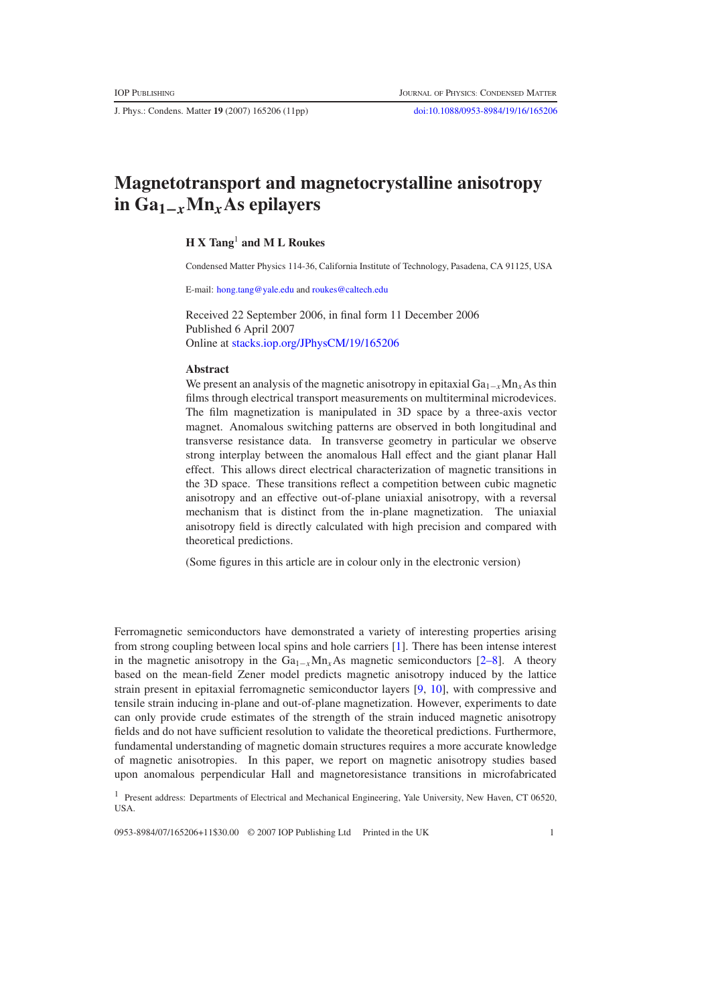J. Phys.: Condens. Matter **19** (2007) 165206 (11pp) [doi:10.1088/0953-8984/19/16/165206](http://dx.doi.org/10.1088/0953-8984/19/16/165206)

# **Magnetotransport and magnetocrystalline anisotropy in Ga1−***x***Mn***x***As epilayers**

# **H X Tang**<sup>1</sup> **and M L Roukes**

Condensed Matter Physics 114-36, California Institute of Technology, Pasadena, CA 91125, USA

E-mail: [hong.tang@yale.edu](mailto:hong.tang@yale.edu) and [roukes@caltech.edu](mailto:roukes@caltech.edu)

Received 22 September 2006, in final form 11 December 2006 Published 6 April 2007 Online at [stacks.iop.org/JPhysCM/19/165206](http://stacks.iop.org/JPhysCM/19/165206)

#### **Abstract**

We present an analysis of the magnetic anisotropy in epitaxial Ga<sub>1−*x*</sub>Mn<sub>*x*</sub>As thin films through electrical transport measurements on multiterminal microdevices. The film magnetization is manipulated in 3D space by a three-axis vector magnet. Anomalous switching patterns are observed in both longitudinal and transverse resistance data. In transverse geometry in particular we observe strong interplay between the anomalous Hall effect and the giant planar Hall effect. This allows direct electrical characterization of magnetic transitions in the 3D space. These transitions reflect a competition between cubic magnetic anisotropy and an effective out-of-plane uniaxial anisotropy, with a reversal mechanism that is distinct from the in-plane magnetization. The uniaxial anisotropy field is directly calculated with high precision and compared with theoretical predictions.

(Some figures in this article are in colour only in the electronic version)

Ferromagnetic semiconductors have demonstrated a variety of interesting properties arising from strong coupling between local spins and hole carriers [\[1\]](#page-9-0). There has been intense interest in the magnetic anisotropy in the  $Ga_{1-x}Mn_xAs$  magnetic semiconductors [\[2–8\]](#page-9-1). A theory based on the mean-field Zener model predicts magnetic anisotropy induced by the lattice strain present in epitaxial ferromagnetic semiconductor layers [\[9,](#page-10-0) [10\]](#page-10-1), with compressive and tensile strain inducing in-plane and out-of-plane magnetization. However, experiments to date can only provide crude estimates of the strength of the strain induced magnetic anisotropy fields and do not have sufficient resolution to validate the theoretical predictions. Furthermore, fundamental understanding of magnetic domain structures requires a more accurate knowledge of magnetic anisotropies. In this paper, we report on magnetic anisotropy studies based upon anomalous perpendicular Hall and magnetoresistance transitions in microfabricated

<sup>1</sup> Present address: Departments of Electrical and Mechanical Engineering, Yale University, New Haven, CT 06520, USA.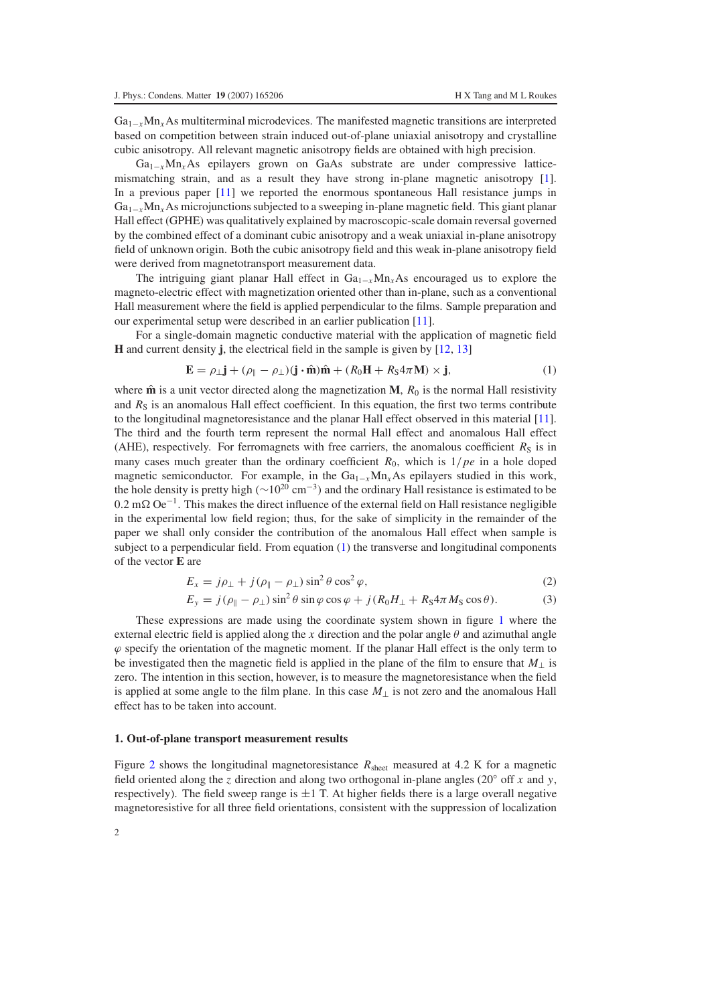Ga<sub>1−*x*</sub>Mn<sub>*x*</sub>As multiterminal microdevices. The manifested magnetic transitions are interpreted based on competition between strain induced out-of-plane uniaxial anisotropy and crystalline cubic anisotropy. All relevant magnetic anisotropy fields are obtained with high precision.

Ga1−*x*Mn*x*As epilayers grown on GaAs substrate are under compressive latticemismatching strain, and as a result they have strong in-plane magnetic anisotropy [\[1\]](#page-9-0). In a previous paper [\[11\]](#page-10-2) we reported the enormous spontaneous Hall resistance jumps in Ga1<sup>−</sup>*x*Mn*x*As microjunctions subjected to a sweeping in-plane magnetic field. This giant planar Hall effect (GPHE) was qualitatively explained by macroscopic-scale domain reversal governed by the combined effect of a dominant cubic anisotropy and a weak uniaxial in-plane anisotropy field of unknown origin. Both the cubic anisotropy field and this weak in-plane anisotropy field were derived from magnetotransport measurement data.

<span id="page-1-0"></span>The intriguing giant planar Hall effect in  $Ga_{1-x}Mn_xAs$  encouraged us to explore the magneto-electric effect with magnetization oriented other than in-plane, such as a conventional Hall measurement where the field is applied perpendicular to the films. Sample preparation and our experimental setup were described in an earlier publication [\[11\]](#page-10-2).

For a single-domain magnetic conductive material with the application of magnetic field **H** and current density **j**, the electrical field in the sample is given by [\[12,](#page-10-3) [13\]](#page-10-4)

$$
\mathbf{E} = \rho_{\perp} \mathbf{j} + (\rho_{\parallel} - \rho_{\perp}) (\mathbf{j} \cdot \hat{\mathbf{m}}) \hat{\mathbf{m}} + (R_0 \mathbf{H} + R_S 4\pi \mathbf{M}) \times \mathbf{j}, \tag{1}
$$

where  $\hat{\mathbf{m}}$  is a unit vector directed along the magnetization **M**,  $R_0$  is the normal Hall resistivity and  $R<sub>S</sub>$  is an anomalous Hall effect coefficient. In this equation, the first two terms contribute to the longitudinal magnetoresistance and the planar Hall effect observed in this material [\[11\]](#page-10-2). The third and the fourth term represent the normal Hall effect and anomalous Hall effect (AHE), respectively. For ferromagnets with free carriers, the anomalous coefficient  $R<sub>S</sub>$  is in many cases much greater than the ordinary coefficient  $R_0$ , which is  $1/pe$  in a hole doped magnetic semiconductor. For example, in the  $Ga_{1-x}Mn_xAs$  epilayers studied in this work, the hole density is pretty high ( $\sim$ 10<sup>20</sup> cm<sup>-3</sup>) and the ordinary Hall resistance is estimated to be  $0.2$  mΩ  $Oe^{-1}$ . This makes the direct influence of the external field on Hall resistance negligible in the experimental low field region; thus, for the sake of simplicity in the remainder of the paper we shall only consider the contribution of the anomalous Hall effect when sample is subject to a perpendicular field. From equation  $(1)$  the transverse and longitudinal components of the vector **E** are

<span id="page-1-1"></span>
$$
E_x = j\rho_\perp + j(\rho_\parallel - \rho_\perp)\sin^2\theta\cos^2\varphi,\tag{2}
$$

$$
E_y = j(\rho_{\parallel} - \rho_{\perp}) \sin^2 \theta \sin \varphi \cos \varphi + j(R_0 H_{\perp} + R_S 4\pi M_S \cos \theta). \tag{3}
$$

<span id="page-1-2"></span>These expressions are made using the coordinate system shown in figure [1](#page-2-0) where the external electric field is applied along the x direction and the polar angle  $\theta$  and azimuthal angle  $\varphi$  specify the orientation of the magnetic moment. If the planar Hall effect is the only term to be investigated then the magnetic field is applied in the plane of the film to ensure that *M*<sup>⊥</sup> is zero. The intention in this section, however, is to measure the magnetoresistance when the field is applied at some angle to the film plane. In this case *M*<sup>⊥</sup> is not zero and the anomalous Hall effect has to be taken into account.

## **1. Out-of-plane transport measurement results**

Figure [2](#page-2-1) shows the longitudinal magnetoresistance  $R_{\text{sheet}}$  measured at 4.2 K for a magnetic field oriented along the *z* direction and along two orthogonal in-plane angles (20◦ off *x* and *y*, respectively). The field sweep range is  $\pm 1$  T. At higher fields there is a large overall negative magnetoresistive for all three field orientations, consistent with the suppression of localization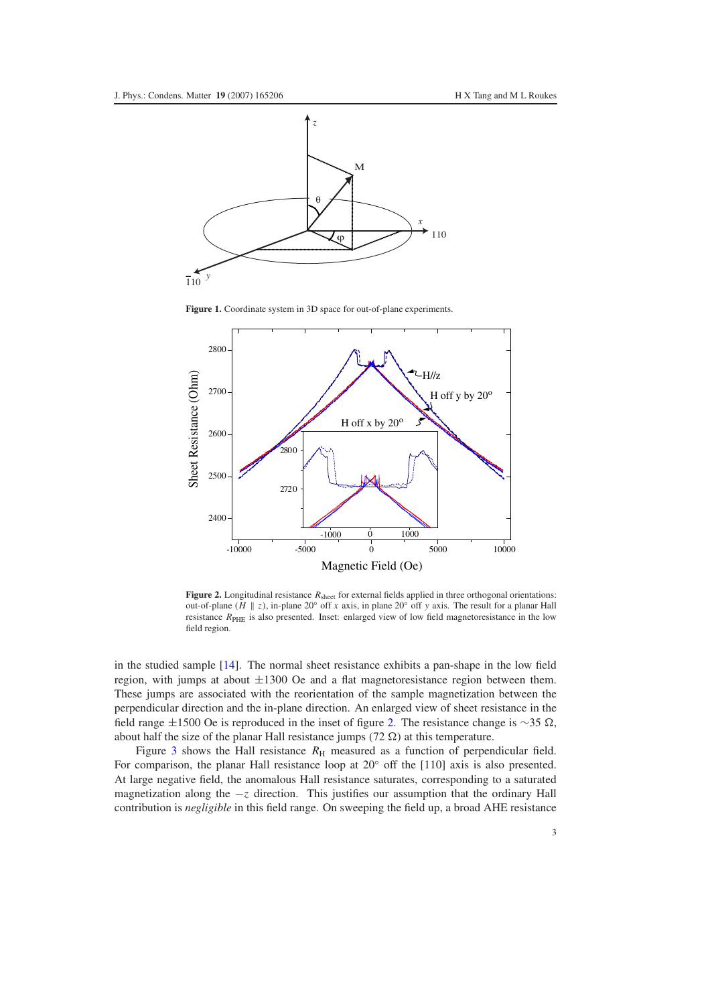<span id="page-2-0"></span>

**Figure 1.** Coordinate system in 3D space for out-of-plane experiments.

<span id="page-2-1"></span>

**Figure 2.** Longitudinal resistance  $R_{sheet}$  for external fields applied in three orthogonal orientations: out-of-plane ( $H \parallel z$ ), in-plane 20° off *x* axis, in plane 20° off *y* axis. The result for a planar Hall resistance *R*<sub>PHE</sub> is also presented. Inset: enlarged view of low field magnetoresistance in the low field region.

in the studied sample [\[14\]](#page-10-5). The normal sheet resistance exhibits a pan-shape in the low field region, with jumps at about  $\pm 1300$  Oe and a flat magnetoresistance region between them. These jumps are associated with the reorientation of the sample magnetization between the perpendicular direction and the in-plane direction. An enlarged view of sheet resistance in the field range  $\pm 1500$  Oe is reproduced in the inset of figure [2.](#page-2-1) The resistance change is ∼35  $\Omega$ , about half the size of the planar Hall resistance jumps (72  $\Omega$ ) at this temperature.

Figure [3](#page-3-0) shows the Hall resistance  $R<sub>H</sub>$  measured as a function of perpendicular field. For comparison, the planar Hall resistance loop at 20◦ off the [110] axis is also presented. At large negative field, the anomalous Hall resistance saturates, corresponding to a saturated magnetization along the −*z* direction. This justifies our assumption that the ordinary Hall contribution is *negligible* in this field range. On sweeping the field up, a broad AHE resistance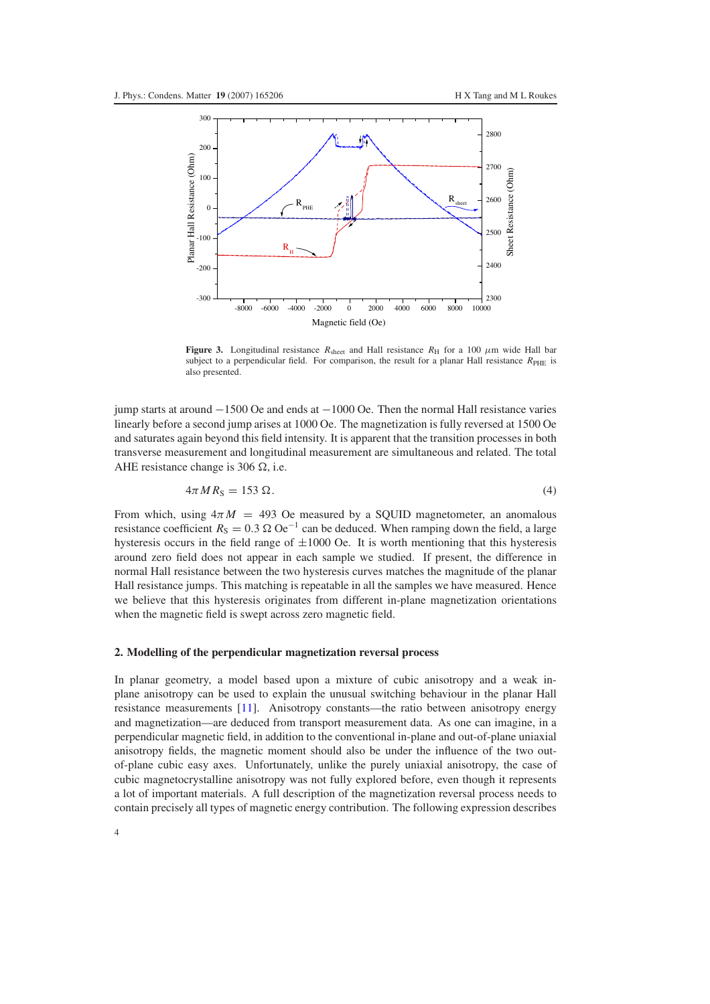<span id="page-3-0"></span>

**Figure 3.** Longitudinal resistance  $R_{\text{sheet}}$  and Hall resistance  $R_H$  for a 100  $\mu$ m wide Hall bar subject to a perpendicular field. For comparison, the result for a planar Hall resistance *R*<sub>PHE</sub> is also presented.

<span id="page-3-1"></span>jump starts at around −1500 Oe and ends at −1000 Oe. Then the normal Hall resistance varies linearly before a second jump arises at 1000 Oe. The magnetization is fully reversed at 1500 Oe and saturates again beyond this field intensity. It is apparent that the transition processes in both transverse measurement and longitudinal measurement are simultaneous and related. The total AHE resistance change is 306  $\Omega$ , i.e.

$$
4\pi MR_S = 153 \Omega. \tag{4}
$$

From which, using  $4\pi M = 493$  Oe measured by a SQUID magnetometer, an anomalous resistance coefficient  $R_S = 0.3 \Omega \Omega e^{-1}$  can be deduced. When ramping down the field, a large hysteresis occurs in the field range of  $\pm 1000$  Oe. It is worth mentioning that this hysteresis around zero field does not appear in each sample we studied. If present, the difference in normal Hall resistance between the two hysteresis curves matches the magnitude of the planar Hall resistance jumps. This matching is repeatable in all the samples we have measured. Hence we believe that this hysteresis originates from different in-plane magnetization orientations when the magnetic field is swept across zero magnetic field.

## **2. Modelling of the perpendicular magnetization reversal process**

In planar geometry, a model based upon a mixture of cubic anisotropy and a weak inplane anisotropy can be used to explain the unusual switching behaviour in the planar Hall resistance measurements [\[11\]](#page-10-2). Anisotropy constants—the ratio between anisotropy energy and magnetization—are deduced from transport measurement data. As one can imagine, in a perpendicular magnetic field, in addition to the conventional in-plane and out-of-plane uniaxial anisotropy fields, the magnetic moment should also be under the influence of the two outof-plane cubic easy axes. Unfortunately, unlike the purely uniaxial anisotropy, the case of cubic magnetocrystalline anisotropy was not fully explored before, even though it represents a lot of important materials. A full description of the magnetization reversal process needs to contain precisely all types of magnetic energy contribution. The following expression describes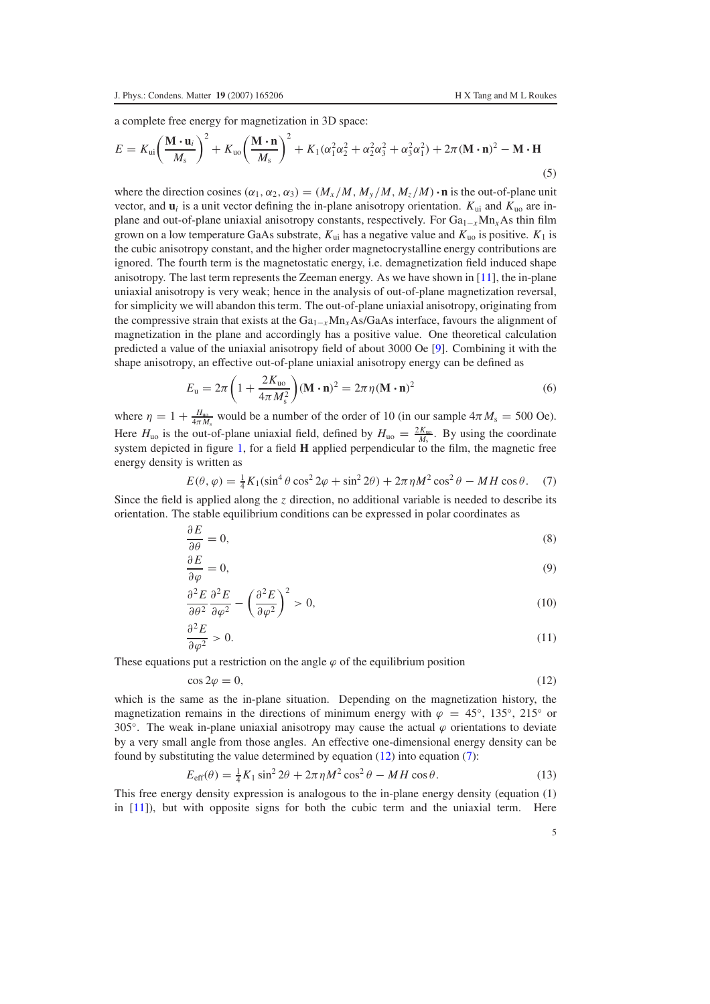∂ *E*

<span id="page-4-5"></span>a complete free energy for magnetization in 3D space:

$$
E = K_{\rm ui} \left( \frac{\mathbf{M} \cdot \mathbf{u}_i}{M_s} \right)^2 + K_{\rm uo} \left( \frac{\mathbf{M} \cdot \mathbf{n}}{M_s} \right)^2 + K_1 (\alpha_1^2 \alpha_2^2 + \alpha_2^2 \alpha_3^2 + \alpha_3^2 \alpha_1^2) + 2\pi (\mathbf{M} \cdot \mathbf{n})^2 - \mathbf{M} \cdot \mathbf{H}
$$
\n(5)

where the direction cosines  $(\alpha_1, \alpha_2, \alpha_3) = (M_x/M, M_y/M, M_z/M) \cdot \mathbf{n}$  is the out-of-plane unit vector, and  $\mathbf{u}_i$  is a unit vector defining the in-plane anisotropy orientation.  $K_{\text{ui}}$  and  $K_{\text{uo}}$  are inplane and out-of-plane uniaxial anisotropy constants, respectively. For Ga<sub>1-*x*</sub>Mn<sub>*x*</sub>As thin film grown on a low temperature GaAs substrate,  $K_{ui}$  has a negative value and  $K_{uo}$  is positive.  $K_1$  is the cubic anisotropy constant, and the higher order magnetocrystalline energy contributions are ignored. The fourth term is the magnetostatic energy, i.e. demagnetization field induced shape anisotropy. The last term represents the Zeeman energy. As we have shown in [\[11\]](#page-10-2), the in-plane uniaxial anisotropy is very weak; hence in the analysis of out-of-plane magnetization reversal, for simplicity we will abandon this term. The out-of-plane uniaxial anisotropy, originating from the compressive strain that exists at the Ga1<sup>−</sup>*x*Mn*x*As/GaAs interface, favours the alignment of magnetization in the plane and accordingly has a positive value. One theoretical calculation predicted a value of the uniaxial anisotropy field of about 3000 Oe [\[9\]](#page-10-0). Combining it with the shape anisotropy, an effective out-of-plane uniaxial anisotropy energy can be defined as

$$
E_{\mathbf{u}} = 2\pi \left( 1 + \frac{2K_{\mathbf{u}\mathbf{v}}}{4\pi M_{\mathbf{s}}^2} \right) (\mathbf{M} \cdot \mathbf{n})^2 = 2\pi \eta (\mathbf{M} \cdot \mathbf{n})^2 \tag{6}
$$

<span id="page-4-1"></span>where  $\eta = 1 + \frac{H_{\text{uo}}}{4\pi M_s}$  would be a number of the order of 10 (in our sample  $4\pi M_s = 500$  Oe). Here  $H_{uo}$  is the out-of-plane uniaxial field, defined by  $H_{uo} = \frac{2K_{uo}}{M_s}$ . By using the coordinate system depicted in figure [1,](#page-2-0) for a field **H** applied perpendicular to the film, the magnetic free energy density is written as

$$
E(\theta, \varphi) = \frac{1}{4} K_1 (\sin^4 \theta \cos^2 2\varphi + \sin^2 2\theta) + 2\pi \eta M^2 \cos^2 \theta - MH \cos \theta. \tag{7}
$$

<span id="page-4-2"></span>Since the field is applied along the *z* direction, no additional variable is needed to describe its orientation. The stable equilibrium conditions can be expressed in polar coordinates as

$$
\frac{\partial E}{\partial \theta} = 0,\tag{8}
$$

<span id="page-4-3"></span>
$$
\frac{\partial E}{\partial \varphi} = 0,\tag{9}
$$

$$
\frac{\partial^2 E}{\partial \theta^2} \frac{\partial^2 E}{\partial \varphi^2} - \left(\frac{\partial^2 E}{\partial \varphi^2}\right)^2 > 0,
$$
\n(10)

$$
\frac{\partial^2 E}{\partial \varphi^2} > 0. \tag{11}
$$

<span id="page-4-0"></span>These equations put a restriction on the angle  $\varphi$  of the equilibrium position

$$
\cos 2\varphi = 0,\tag{12}
$$

<span id="page-4-4"></span>which is the same as the in-plane situation. Depending on the magnetization history, the magnetization remains in the directions of minimum energy with  $\varphi = 45°, 135°, 215°$  or 305°. The weak in-plane uniaxial anisotropy may cause the actual  $\varphi$  orientations to deviate by a very small angle from those angles. An effective one-dimensional energy density can be found by substituting the value determined by equation [\(12\)](#page-4-0) into equation [\(7\)](#page-4-1):

$$
E_{\text{eff}}(\theta) = \frac{1}{4}K_1 \sin^2 2\theta + 2\pi \eta M^2 \cos^2 \theta - MH \cos \theta.
$$
 (13)

This free energy density expression is analogous to the in-plane energy density (equation (1) in  $[11]$ ), but with opposite signs for both the cubic term and the uniaxial term. Here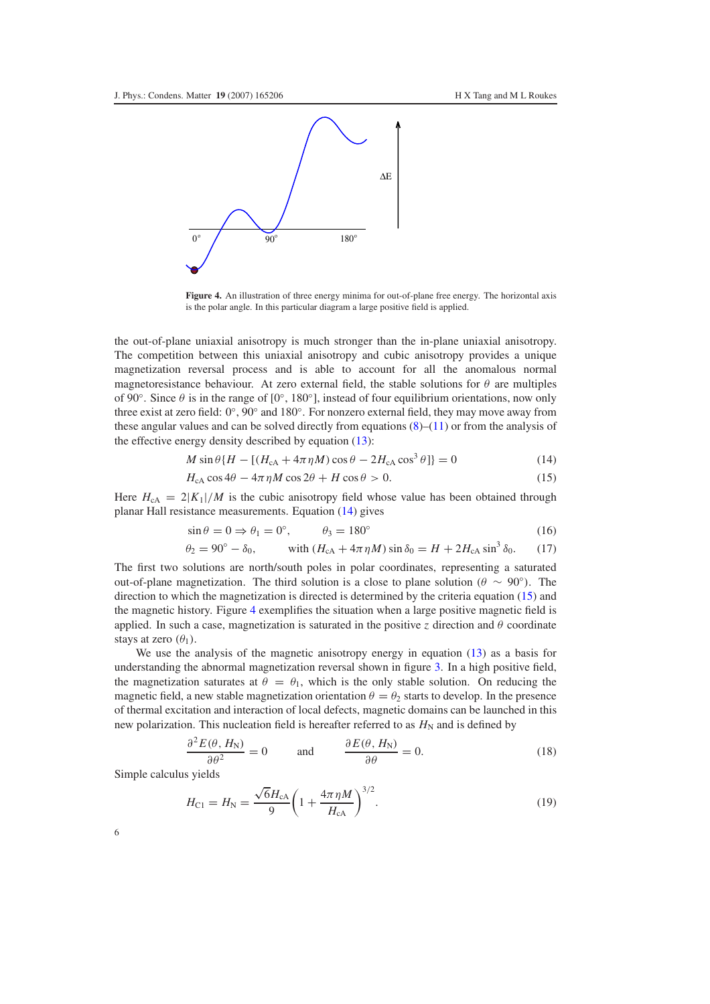<span id="page-5-2"></span>

**Figure 4.** An illustration of three energy minima for out-of-plane free energy. The horizontal axis is the polar angle. In this particular diagram a large positive field is applied.

<span id="page-5-1"></span><span id="page-5-0"></span>the out-of-plane uniaxial anisotropy is much stronger than the in-plane uniaxial anisotropy. The competition between this uniaxial anisotropy and cubic anisotropy provides a unique magnetization reversal process and is able to account for all the anomalous normal magnetoresistance behaviour. At zero external field, the stable solutions for  $\theta$  are multiples of 90 $\degree$ . Since  $\theta$  is in the range of [0 $\degree$ , 180 $\degree$ ], instead of four equilibrium orientations, now only three exist at zero field: 0◦, 90◦ and 180◦. For nonzero external field, they may move away from these angular values and can be solved directly from equations  $(8)$ – $(11)$  or from the analysis of the effective energy density described by equation [\(13\)](#page-4-4):

$$
M\sin\theta\{H - [(H_{\rm cA} + 4\pi\eta M)\cos\theta - 2H_{\rm cA}\cos^3\theta]\} = 0
$$
\n(14)

$$
H_{\rm cA}\cos 4\theta - 4\pi \eta M \cos 2\theta + H \cos \theta > 0. \tag{15}
$$

<span id="page-5-3"></span>Here  $H_{cA} = 2|K_1|/M$  is the cubic anisotropy field whose value has been obtained through planar Hall resistance measurements. Equation [\(14\)](#page-5-0) gives

$$
\sin \theta = 0 \Rightarrow \theta_1 = 0^\circ, \qquad \theta_3 = 180^\circ \tag{16}
$$

$$
\theta_2 = 90^\circ - \delta_0, \qquad \text{with } (H_{\text{cA}} + 4\pi \eta M) \sin \delta_0 = H + 2H_{\text{cA}} \sin^3 \delta_0. \tag{17}
$$

The first two solutions are north/south poles in polar coordinates, representing a saturated out-of-plane magnetization. The third solution is a close to plane solution ( $\theta \sim 90°$ ). The direction to which the magnetization is directed is determined by the criteria equation [\(15\)](#page-5-1) and the magnetic history. Figure [4](#page-5-2) exemplifies the situation when a large positive magnetic field is applied. In such a case, magnetization is saturated in the positive *z* direction and  $\theta$  coordinate stays at zero  $(\theta_1)$ .

We use the analysis of the magnetic anisotropy energy in equation [\(13\)](#page-4-4) as a basis for understanding the abnormal magnetization reversal shown in figure [3.](#page-3-0) In a high positive field, the magnetization saturates at  $\theta = \theta_1$ , which is the only stable solution. On reducing the magnetic field, a new stable magnetization orientation  $\theta = \theta_2$  starts to develop. In the presence of thermal excitation and interaction of local defects, magnetic domains can be launched in this new polarization. This nucleation field is hereafter referred to as  $H_N$  and is defined by

$$
\frac{\partial^2 E(\theta, H_N)}{\partial \theta^2} = 0 \quad \text{and} \quad \frac{\partial E(\theta, H_N)}{\partial \theta} = 0. \tag{18}
$$

Simple calculus yields

$$
H_{\rm Cl} = H_{\rm N} = \frac{\sqrt{6}H_{\rm cA}}{9} \left(1 + \frac{4\pi\eta M}{H_{\rm cA}}\right)^{3/2}.
$$
 (19)

6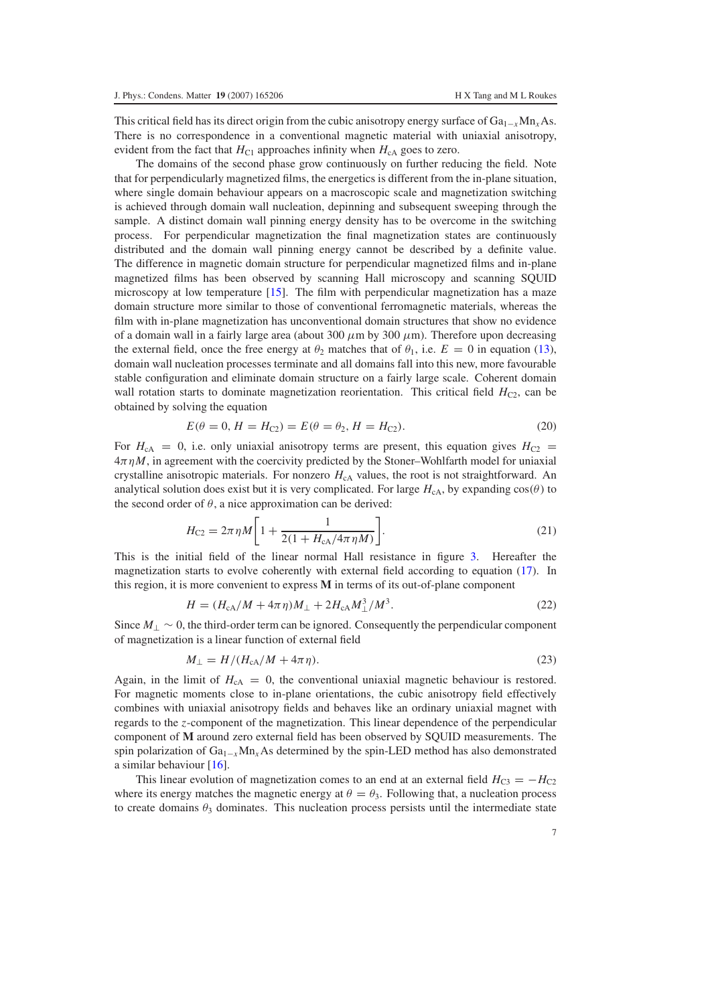This critical field has its direct origin from the cubic anisotropy energy surface of Ga1<sup>−</sup>*x*Mn*x*As. There is no correspondence in a conventional magnetic material with uniaxial anisotropy, evident from the fact that  $H_{C1}$  approaches infinity when  $H_{cA}$  goes to zero.

The domains of the second phase grow continuously on further reducing the field. Note that for perpendicularly magnetized films, the energetics is different from the in-plane situation, where single domain behaviour appears on a macroscopic scale and magnetization switching is achieved through domain wall nucleation, depinning and subsequent sweeping through the sample. A distinct domain wall pinning energy density has to be overcome in the switching process. For perpendicular magnetization the final magnetization states are continuously distributed and the domain wall pinning energy cannot be described by a definite value. The difference in magnetic domain structure for perpendicular magnetized films and in-plane magnetized films has been observed by scanning Hall microscopy and scanning SQUID microscopy at low temperature [\[15\]](#page-10-6). The film with perpendicular magnetization has a maze domain structure more similar to those of conventional ferromagnetic materials, whereas the film with in-plane magnetization has unconventional domain structures that show no evidence of a domain wall in a fairly large area (about 300  $\mu$ m by 300  $\mu$ m). Therefore upon decreasing the external field, once the free energy at  $\theta_2$  matches that of  $\theta_1$ , i.e.  $E = 0$  in equation [\(13\)](#page-4-4), domain wall nucleation processes terminate and all domains fall into this new, more favourable stable configuration and eliminate domain structure on a fairly large scale. Coherent domain wall rotation starts to dominate magnetization reorientation. This critical field  $H_{C2}$ , can be obtained by solving the equation

$$
E(\theta = 0, H = H_{C2}) = E(\theta = \theta_2, H = H_{C2}).
$$
\n(20)

For  $H_{\rm cA} = 0$ , i.e. only uniaxial anisotropy terms are present, this equation gives  $H_{\rm c2} =$  $4\pi \eta M$ , in agreement with the coercivity predicted by the Stoner–Wohlfarth model for uniaxial crystalline anisotropic materials. For nonzero  $H_{cA}$  values, the root is not straightforward. An analytical solution does exist but it is very complicated. For large  $H_{cA}$ , by expanding  $cos(\theta)$  to the second order of  $\theta$ , a nice approximation can be derived:

$$
H_{\rm C2} = 2\pi \eta M \bigg[ 1 + \frac{1}{2(1 + H_{\rm cA}/4\pi \eta M)} \bigg].
$$
 (21)

This is the initial field of the linear normal Hall resistance in figure [3.](#page-3-0) Hereafter the magnetization starts to evolve coherently with external field according to equation [\(17\)](#page-5-3). In this region, it is more convenient to express **M** in terms of its out-of-plane component

$$
H = (H_{cA}/M + 4\pi \eta)M_{\perp} + 2H_{cA}M_{\perp}^3/M^3.
$$
 (22)

Since *M*<sup>⊥</sup> ∼ 0, the third-order term can be ignored. Consequently the perpendicular component of magnetization is a linear function of external field

$$
M_{\perp} = H/(H_{\rm cA}/M + 4\pi \eta). \tag{23}
$$

Again, in the limit of  $H_{cA} = 0$ , the conventional uniaxial magnetic behaviour is restored. For magnetic moments close to in-plane orientations, the cubic anisotropy field effectively combines with uniaxial anisotropy fields and behaves like an ordinary uniaxial magnet with regards to the *z*-component of the magnetization. This linear dependence of the perpendicular component of **M** around zero external field has been observed by SQUID measurements. The spin polarization of Ga1<sup>−</sup>*x*Mn*x*As determined by the spin-LED method has also demonstrated a similar behaviour [\[16\]](#page-10-7).

This linear evolution of magnetization comes to an end at an external field  $H_{C3} = -H_{C2}$ where its energy matches the magnetic energy at  $\theta = \theta_3$ . Following that, a nucleation process to create domains  $\theta_3$  dominates. This nucleation process persists until the intermediate state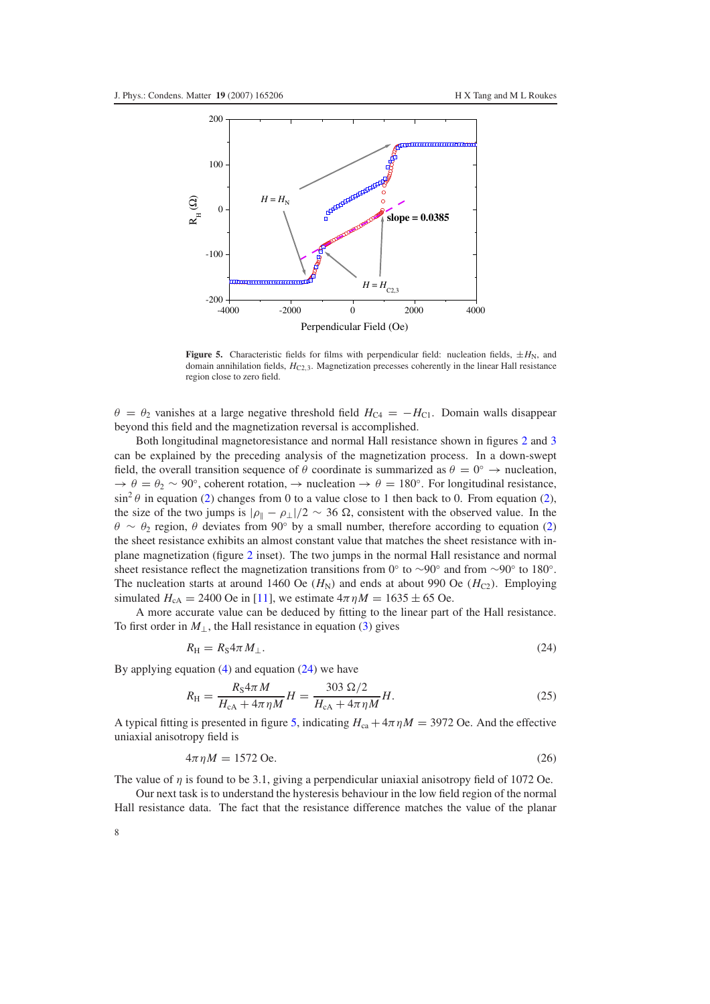<span id="page-7-1"></span>

**Figure 5.** Characteristic fields for films with perpendicular field: nucleation fields,  $\pm H_N$ , and domain annihilation fields,  $H_{C2,3}$ . Magnetization precesses coherently in the linear Hall resistance region close to zero field.

 $\theta = \theta_2$  vanishes at a large negative threshold field  $H_{C4} = -H_{C1}$ . Domain walls disappear beyond this field and the magnetization reversal is accomplished.

Both longitudinal magnetoresistance and normal Hall resistance shown in figures [2](#page-2-1) and [3](#page-3-0) can be explained by the preceding analysis of the magnetization process. In a down-swept field, the overall transition sequence of  $\theta$  coordinate is summarized as  $\theta = 0^\circ \rightarrow$  nucleation,  $\rightarrow \theta = \theta_2 \sim 90^{\circ}$ , coherent rotation,  $\rightarrow$  nucleation  $\rightarrow \theta = 180^{\circ}$ . For longitudinal resistance,  $\sin^2 \theta$  in equation [\(2\)](#page-1-1) changes from 0 to a value close to 1 then back to 0. From equation (2), the size of the two jumps is  $|\rho_{\parallel} - \rho_{\perp}|/2 \sim 36 \Omega$ , consistent with the observed value. In the  $\theta \sim \theta_2$  region,  $\theta$  deviates from 90° by a small number, therefore according to equation [\(2\)](#page-1-1) the sheet resistance exhibits an almost constant value that matches the sheet resistance with inplane magnetization (figure [2](#page-2-1) inset). The two jumps in the normal Hall resistance and normal sheet resistance reflect the magnetization transitions from 0° to ~90° and from ~90° to 180°. The nucleation starts at around 1460 Oe  $(H_N)$  and ends at about 990 Oe  $(H_{C2})$ . Employing simulated  $H_{cA} = 2400$  Oe in [\[11\]](#page-10-2), we estimate  $4\pi \eta M = 1635 \pm 65$  Oe.

<span id="page-7-0"></span>A more accurate value can be deduced by fitting to the linear part of the Hall resistance. To first order in  $M_{\perp}$ , the Hall resistance in equation [\(3\)](#page-1-2) gives

$$
R_{\rm H} = R_{\rm S} 4\pi M_{\perp}.
$$
\n<sup>(24)</sup>

By applying equation  $(4)$  and equation  $(24)$  we have

$$
R_{\rm H} = \frac{R_{\rm S} 4\pi M}{H_{\rm cA} + 4\pi \eta M} H = \frac{303 \,\Omega/2}{H_{\rm cA} + 4\pi \eta M} H. \tag{25}
$$

A typical fitting is presented in figure [5,](#page-7-1) indicating  $H_{ca} + 4\pi \eta M = 3972$  Oe. And the effective uniaxial anisotropy field is

$$
4\pi \eta M = 1572 \text{ Oe.}
$$
\n
$$
(26)
$$

The value of  $\eta$  is found to be 3.1, giving a perpendicular uniaxial anisotropy field of 1072 Oe.

Our next task is to understand the hysteresis behaviour in the low field region of the normal Hall resistance data. The fact that the resistance difference matches the value of the planar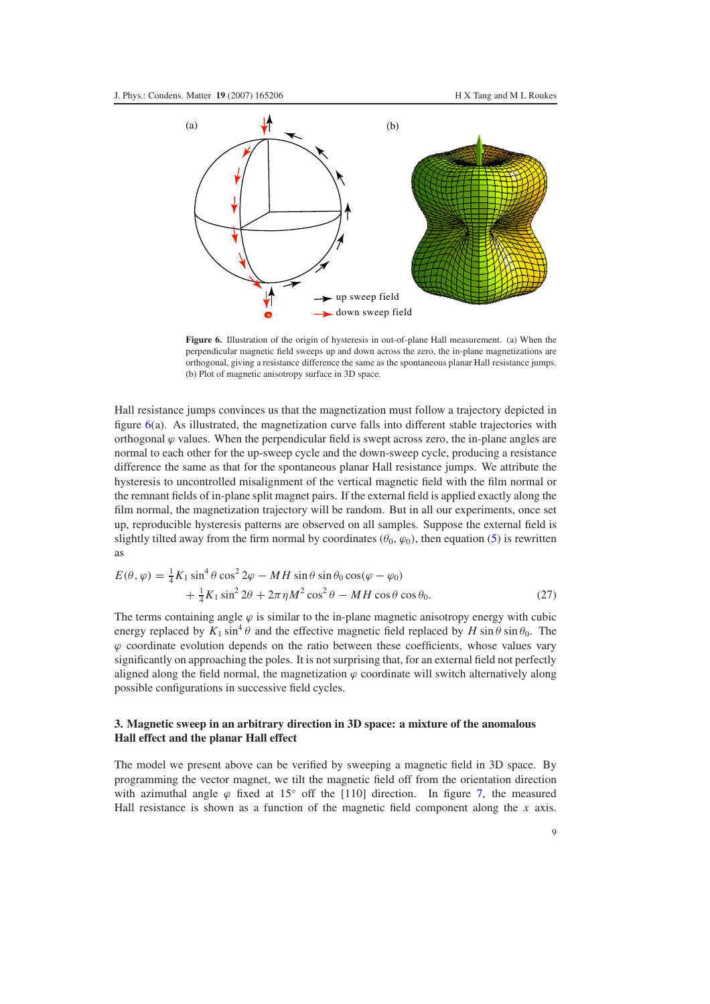<span id="page-8-0"></span>

**Figure 6.** Illustration of the origin of hysteresis in out-of-plane Hall measurement. (a) When the perpendicular magnetic field sweeps up and down across the zero, the in-plane magnetizations are orthogonal, giving a resistance difference the same as the spontaneous planar Hall resistance jumps. (b) Plot of magnetic anisotropy surface in 3D space.

Hall resistance jumps convinces us that the magnetization must follow a trajectory depicted in figure  $6(a)$  $6(a)$ . As illustrated, the magnetization curve falls into different stable trajectories with orthogonal  $\varphi$  values. When the perpendicular field is swept across zero, the in-plane angles are normal to each other for the up-sweep cycle and the down-sweep cycle, producing a resistance difference the same as that for the spontaneous planar Hall resistance jumps. We attribute the hysteresis to uncontrolled misalignment of the vertical magnetic field with the film normal or the remnant fields of in-plane split magnet pairs. If the external field is applied exactly along the film normal, the magnetization trajectory will be random. But in all our experiments, once set up, reproducible hysteresis patterns are observed on all samples. Suppose the external field is slightly tilted away from the firm normal by coordinates  $(\theta_0, \varphi_0)$ , then equation [\(5\)](#page-4-5) is rewritten as

$$
E(\theta, \varphi) = \frac{1}{4} K_1 \sin^4 \theta \cos^2 2\varphi - MH \sin \theta \sin \theta_0 \cos(\varphi - \varphi_0)
$$
  
 
$$
+ \frac{1}{4} K_1 \sin^2 2\theta + 2\pi \eta M^2 \cos^2 \theta - MH \cos \theta \cos \theta_0.
$$
 (27)

The terms containing angle  $\varphi$  is similar to the in-plane magnetic anisotropy energy with cubic energy replaced by  $K_1 \sin^4 \theta$  and the effective magnetic field replaced by  $H \sin \theta \sin \theta_0$ . The  $\varphi$  coordinate evolution depends on the ratio between these coefficients, whose values vary significantly on approaching the poles. It is not surprising that, for an external field not perfectly aligned along the field normal, the magnetization  $\varphi$  coordinate will switch alternatively along possible configurations in successive field cycles.

## **3. Magnetic sweep in an arbitrary direction in 3D space: a mixture of the anomalous Hall effect and the planar Hall effect**

The model we present above can be verified by sweeping a magnetic field in 3D space. By programming the vector magnet, we tilt the magnetic field off from the orientation direction with azimuthal angle  $\varphi$  fixed at 15° off the [110] direction. In figure [7,](#page-9-2) the measured Hall resistance is shown as a function of the magnetic field component along the *x* axis.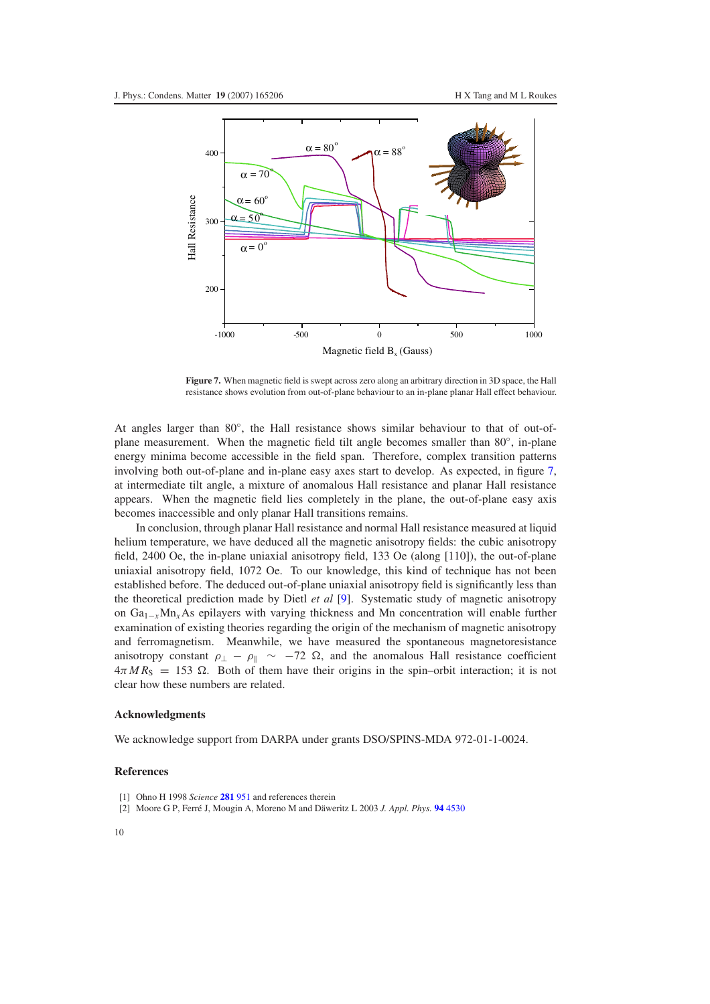<span id="page-9-2"></span>

**Figure 7.** When magnetic field is swept across zero along an arbitrary direction in 3D space, the Hall resistance shows evolution from out-of-plane behaviour to an in-plane planar Hall effect behaviour.

At angles larger than 80◦, the Hall resistance shows similar behaviour to that of out-ofplane measurement. When the magnetic field tilt angle becomes smaller than 80◦, in-plane energy minima become accessible in the field span. Therefore, complex transition patterns involving both out-of-plane and in-plane easy axes start to develop. As expected, in figure [7,](#page-9-2) at intermediate tilt angle, a mixture of anomalous Hall resistance and planar Hall resistance appears. When the magnetic field lies completely in the plane, the out-of-plane easy axis becomes inaccessible and only planar Hall transitions remains.

In conclusion, through planar Hall resistance and normal Hall resistance measured at liquid helium temperature, we have deduced all the magnetic anisotropy fields: the cubic anisotropy field, 2400 Oe, the in-plane uniaxial anisotropy field, 133 Oe (along [110]), the out-of-plane uniaxial anisotropy field, 1072 Oe. To our knowledge, this kind of technique has not been established before. The deduced out-of-plane uniaxial anisotropy field is significantly less than the theoretical prediction made by Dietl *et al* [\[9\]](#page-10-0). Systematic study of magnetic anisotropy on Ga1<sup>−</sup>*x*Mn*x*As epilayers with varying thickness and Mn concentration will enable further examination of existing theories regarding the origin of the mechanism of magnetic anisotropy and ferromagnetism. Meanwhile, we have measured the spontaneous magnetoresistance anisotropy constant  $\rho_{\perp} - \rho_{\parallel} \sim -72 \Omega$ , and the anomalous Hall resistance coefficient  $4\pi MR_S = 153 \Omega$ . Both of them have their origins in the spin–orbit interaction; it is not clear how these numbers are related.

#### <span id="page-9-1"></span><span id="page-9-0"></span>**Acknowledgments**

We acknowledge support from DARPA under grants DSO/SPINS-MDA 972-01-1-0024.

#### **References**

- [1] Ohno H 1998 *Science* **[281](http://dx.doi.org/10.1126/science.281.5379.951)** 951 and references therein
- [2] Moore G P, Ferré J, Mougin A, Moreno M and Däweritz L 2003 *J. Appl. Phys.* 94 [4530](http://dx.doi.org/10.1063/1.1601690)